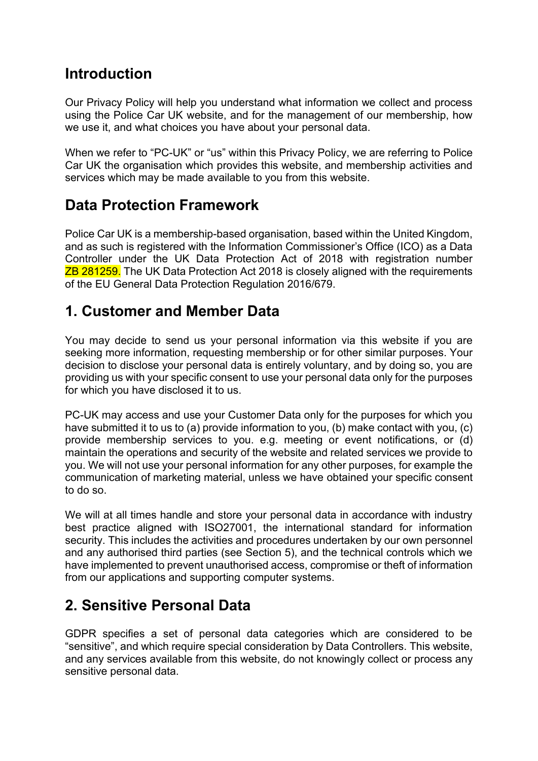#### **Introduction**

Our Privacy Policy will help you understand what information we collect and process using the Police Car UK website, and for the management of our membership, how we use it, and what choices you have about your personal data.

When we refer to "PC-UK" or "us" within this Privacy Policy, we are referring to Police Car UK the organisation which provides this website, and membership activities and services which may be made available to you from this website.

#### **Data Protection Framework**

Police Car UK is a membership-based organisation, based within the United Kingdom, and as such is registered with the Information Commissioner's Office (ICO) as a Data Controller under the UK Data Protection Act of 2018 with registration number **ZB 281259.** The UK Data Protection Act 2018 is closely aligned with the requirements of the EU General Data Protection Regulation 2016/679.

#### **1. Customer and Member Data**

You may decide to send us your personal information via this website if you are seeking more information, requesting membership or for other similar purposes. Your decision to disclose your personal data is entirely voluntary, and by doing so, you are providing us with your specific consent to use your personal data only for the purposes for which you have disclosed it to us.

PC-UK may access and use your Customer Data only for the purposes for which you have submitted it to us to (a) provide information to you, (b) make contact with you, (c) provide membership services to you. e.g. meeting or event notifications, or (d) maintain the operations and security of the website and related services we provide to you. We will not use your personal information for any other purposes, for example the communication of marketing material, unless we have obtained your specific consent to do so.

We will at all times handle and store your personal data in accordance with industry best practice aligned with ISO27001, the international standard for information security. This includes the activities and procedures undertaken by our own personnel and any authorised third parties (see Section 5), and the technical controls which we have implemented to prevent unauthorised access, compromise or theft of information from our applications and supporting computer systems.

### **2. Sensitive Personal Data**

GDPR specifies a set of personal data categories which are considered to be "sensitive", and which require special consideration by Data Controllers. This website, and any services available from this website, do not knowingly collect or process any sensitive personal data.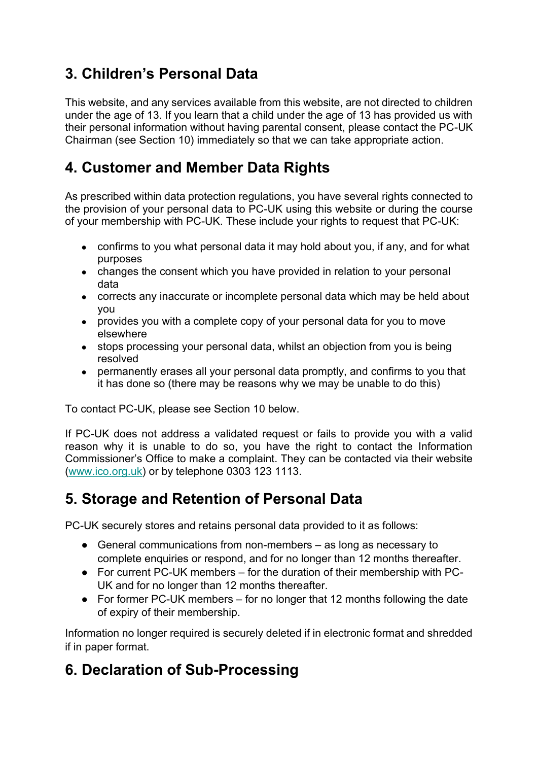# **3. Children's Personal Data**

This website, and any services available from this website, are not directed to children under the age of 13. If you learn that a child under the age of 13 has provided us with their personal information without having parental consent, please contact the PC-UK Chairman (see Section 10) immediately so that we can take appropriate action.

### **4. Customer and Member Data Rights**

As prescribed within data protection regulations, you have several rights connected to the provision of your personal data to PC-UK using this website or during the course of your membership with PC-UK. These include your rights to request that PC-UK:

- confirms to you what personal data it may hold about you, if any, and for what purposes
- changes the consent which you have provided in relation to your personal data
- corrects any inaccurate or incomplete personal data which may be held about you
- provides you with a complete copy of your personal data for you to move elsewhere
- stops processing your personal data, whilst an objection from you is being resolved
- permanently erases all your personal data promptly, and confirms to you that it has done so (there may be reasons why we may be unable to do this)

To contact PC-UK, please see Section 10 below.

If PC-UK does not address a validated request or fails to provide you with a valid reason why it is unable to do so, you have the right to contact the Information Commissioner's Office to make a complaint. They can be contacted via their website [\(www.ico.org.uk\)](http://www.ico.org.uk/) or by telephone 0303 123 1113.

### **5. Storage and Retention of Personal Data**

PC-UK securely stores and retains personal data provided to it as follows:

- General communications from non-members as long as necessary to complete enquiries or respond, and for no longer than 12 months thereafter.
- For current PC-UK members for the duration of their membership with PC-UK and for no longer than 12 months thereafter.
- For former PC-UK members for no longer that 12 months following the date of expiry of their membership.

Information no longer required is securely deleted if in electronic format and shredded if in paper format.

# **6. Declaration of Sub-Processing**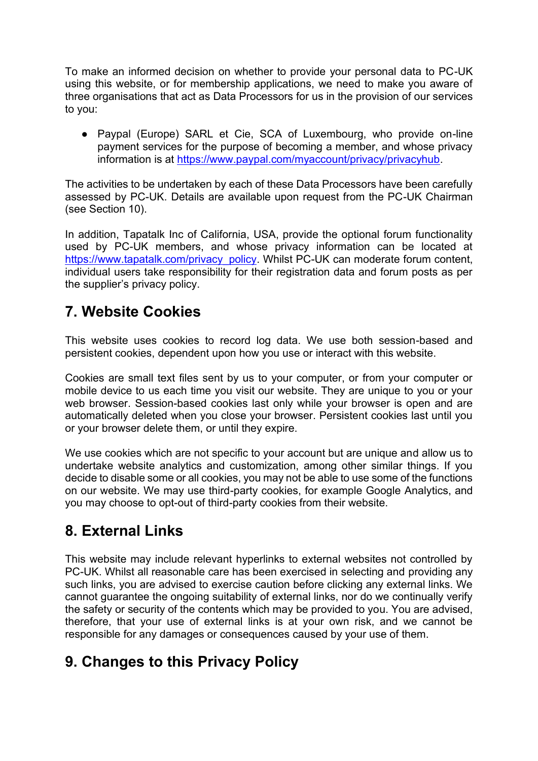To make an informed decision on whether to provide your personal data to PC-UK using this website, or for membership applications, we need to make you aware of three organisations that act as Data Processors for us in the provision of our services to you:

• Paypal (Europe) SARL et Cie, SCA of Luxembourg, who provide on-line payment services for the purpose of becoming a member, and whose privacy information is at [https://www.paypal.com/myaccount/privacy/privacyhub.](https://www.paypal.com/myaccount/privacy/privacyhub)

The activities to be undertaken by each of these Data Processors have been carefully assessed by PC-UK. Details are available upon request from the PC-UK Chairman (see Section 10).

In addition, Tapatalk Inc of California, USA, provide the optional forum functionality used by PC-UK members, and whose privacy information can be located at [https://www.tapatalk.com/privacy\\_policy.](https://www.tapatalk.com/privacy_policy) Whilst PC-UK can moderate forum content, individual users take responsibility for their registration data and forum posts as per the supplier's privacy policy.

### **7. Website Cookies**

This website uses cookies to record log data. We use both session-based and persistent cookies, dependent upon how you use or interact with this website.

Cookies are small text files sent by us to your computer, or from your computer or mobile device to us each time you visit our website. They are unique to you or your web browser. Session-based cookies last only while your browser is open and are automatically deleted when you close your browser. Persistent cookies last until you or your browser delete them, or until they expire.

We use cookies which are not specific to your account but are unique and allow us to undertake website analytics and customization, among other similar things. If you decide to disable some or all cookies, you may not be able to use some of the functions on our website. We may use third-party cookies, for example Google Analytics, and you may choose to opt-out of third-party cookies from their website.

# **8. External Links**

This website may include relevant hyperlinks to external websites not controlled by PC-UK. Whilst all reasonable care has been exercised in selecting and providing any such links, you are advised to exercise caution before clicking any external links. We cannot guarantee the ongoing suitability of external links, nor do we continually verify the safety or security of the contents which may be provided to you. You are advised, therefore, that your use of external links is at your own risk, and we cannot be responsible for any damages or consequences caused by your use of them.

# **9. Changes to this Privacy Policy**